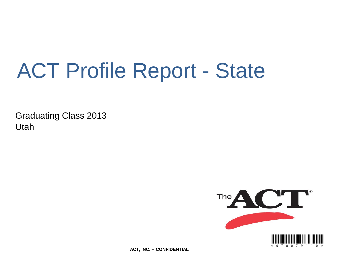# ACT Profile Report - State

Graduating Class 2013 Utah



**ACT, INC. -- CONFIDENTIAL**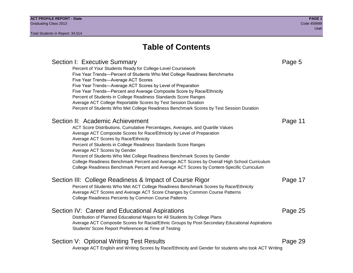## **Table of Contents**

### Section I: Executive Summary **Page 5** and the section I: Executive Summary Percent of Your Students Ready for College-Level Coursework Five Year Trends—Percent of Students Who Met College Readiness Benchmarks Five Year Trends—Average ACT Scores Five Year Trends—Average ACT Scores by Level of Preparation Five Year Trends—Percent and Average Composite Score by Race/Ethnicity Percent of Students in College Readiness Standards Score Ranges Average ACT College Reportable Scores by Test Session Duration Percent of Students Who Met College Readiness Benchmark Scores by Test Session Duration Section II: Academic Achievement **Page 11** Academic Achievement ACT Score Distributions, Cumulative Percentages, Averages, and Quartile Values Average ACT Composite Scores for Race/Ethnicity by Level of Preparation Average ACT Scores by Race/Ethnicity Percent of Students in College Readiness Standards Score Ranges Average ACT Scores by Gender Percent of Students Who Met College Readiness Benchmark Scores by Gender College Readiness Benchmark Percent and Average ACT Scores by Overall High School Curriculum College Readiness Benchmark Percent and Average ACT Scores by Content-Specific Curriculum Section III: College Readiness & Impact of Course Rigor Page 17 Percent of Students Who Met ACT College Readiness Benchmark Scores by Race/Ethnicity Average ACT Scores and Average ACT Score Changes by Common Course Patterns College Readiness Percents by Common Course Patterns Section IV: Career and Educational Aspirations **Page 25** Page 25 Distribution of Planned Educational Majors for All Students by College Plans Average ACT Composite Scores for Racial/Ethnic Groups by Post-Secondary Educational Aspirations Students' Score Report Preferences at Time of Testing Section V: Optional Writing Test Results **Page 29** Page 29 Average ACT English and Writing Scores by Race/Ethnicity and Gender for students who took ACT Writing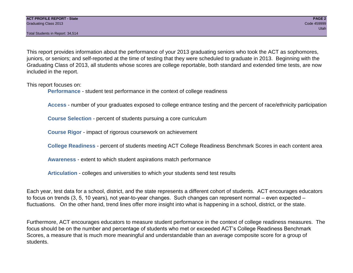Total Students in Report: 34,514

This report provides information about the performance of your 2013 graduating seniors who took the ACT as sophomores, juniors, or seniors; and self-reported at the time of testing that they were scheduled to graduate in 2013. Beginning with the Graduating Class of 2013, all students whose scores are college reportable, both standard and extended time tests, are now included in the report.

This report focuses on:

**Performance** - student test performance in the context of college readiness

**Access** - number of your graduates exposed to college entrance testing and the percent of race/ethnicity participation

**Course Selection** - percent of students pursuing a core curriculum

**Course Rigor** - impact of rigorous coursework on achievement

**College Readiness** - percent of students meeting ACT College Readiness Benchmark Scores in each content area

**Awareness** - extent to which student aspirations match performance

**Articulation** - colleges and universities to which your students send test results

Each year, test data for a school, district, and the state represents a different cohort of students. ACT encourages educators to focus on trends (3, 5, 10 years), not year-to-year changes. Such changes can represent normal – even expected – fluctuations. On the other hand, trend lines offer more insight into what is happening in a school, district, or the state.

Furthermore, ACT encourages educators to measure student performance in the context of college readiness measures. The focus should be on the number and percentage of students who met or exceeded ACT's College Readiness Benchmark Scores, a measure that is much more meaningful and understandable than an average composite score for a group of students.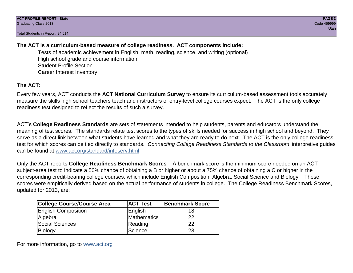Total Students in Report: 34,514

### **The ACT is a curriculum-based measure of college readiness. ACT components include:**

Tests of academic achievement in English, math, reading, science, and writing (optional) High school grade and course information Student Profile Section Career Interest Inventory

### **The ACT:**

Every few years, ACT conducts the **ACT National Curriculum Survey** to ensure its curriculum-based assessment tools accurately measure the skills high school teachers teach and instructors of entry-level college courses expect. The ACT is the only college readiness test designed to reflect the results of such a survey.

ACT's **College Readiness Standards** are sets of statements intended to help students, parents and educators understand the meaning of test scores. The standards relate test scores to the types of skills needed for success in high school and beyond. They serve as a direct link between what students have learned and what they are ready to do next. The ACT is the only college readiness test for which scores can be tied directly to standards. *Connecting College Readiness Standards to the Classroom* interpretive guides can be found at www.act.org/standard/infoserv.html.

Only the ACT reports **College Readiness Benchmark Scores** – A benchmark score is the minimum score needed on an ACT subject-area test to indicate a 50% chance of obtaining a B or higher or about a 75% chance of obtaining a C or higher in the corresponding credit-bearing college courses, which include English Composition, Algebra, Social Science and Biology. These scores were empirically derived based on the actual performance of students in college. The College Readiness Benchmark Scores, updated for 2013, are:

| <b>College Course/Course Area</b> | <b>ACT Test</b> | Benchmark Score |
|-----------------------------------|-----------------|-----------------|
| <b>English Composition</b>        | English         | 18              |
| Algebra                           | Mathematics     | 22              |
| <b>Social Sciences</b>            | Reading         | 22              |
| Biology                           | Science         | 23              |

For more information, go to www.act.org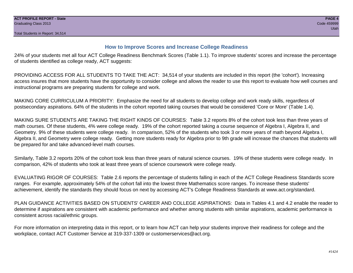#### **How to Improve Scores and Increase College Readiness**

24% of your students met all four ACT College Readiness Benchmark Scores (Table 1.1). To improve students' scores and increase the percentage of students identified as college ready, ACT suggests:

PROVIDING ACCESS FOR ALL STUDENTS TO TAKE THE ACT: 34,514 of your students are included in this report (the 'cohort'). Increasing access insures that more students have the opportunity to consider college and allows the reader to use this report to evaluate how well courses and instructional programs are preparing students for college and work.

MAKING CORE CURRICULUM A PRIORITY: Emphasize the need for all students to develop college and work ready skills, regardless of postsecondary aspirations. 64% of the students in the cohort reported taking courses that would be considered 'Core or More' (Table 1.4).

MAKING SURE STUDENTS ARE TAKING THE RIGHT KINDS OF COURSES: Table 3.2 reports 8% of the cohort took less than three years of math courses. Of these students, 4% were college ready. 19% of the cohort reported taking a course sequence of Algebra I, Algebra II, and Geometry. 9% of these students were college ready. In comparison, 52% of the students who took 3 or more years of math beyond Algebra I, Algebra II, and Geometry were college ready. Getting more students ready for Algebra prior to 9th grade will increase the chances that students will be prepared for and take advanced-level math courses.

Similarly, Table 3.2 reports 20% of the cohort took less than three years of natural science courses. 19% of these students were college ready. In comparison, 42% of students who took at least three years of science coursework were college ready.

EVALUATING RIGOR OF COURSES: Table 2.6 reports the percentage of students falling in each of the ACT College Readiness Standards score ranges. For example, approximately 54% of the cohort fall into the lowest three Mathematics score ranges. To increase these students' achievement, identify the standards they should focus on next by accessing ACT's College Readiness Standards at www.act.org/standard.

PLAN GUIDANCE ACTIVITIES BASED ON STUDENTS' CAREER AND COLLEGE ASPIRATIONS: Data in Tables 4.1 and 4.2 enable the reader to determine if aspirations are consistent with academic performance and whether among students with similar aspirations, academic performance is consistent across racial/ethnic groups.

For more information on interpreting data in this report, or to learn how ACT can help your students improve their readiness for college and the workplace, contact ACT Customer Service at 319-337-1309 or customerservices@act.org.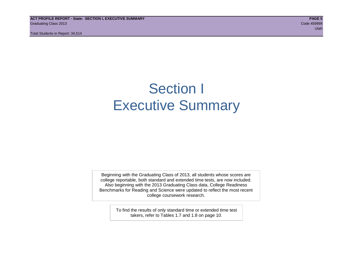**ACT PROFILE REPORT - State: SECTION I, EXECUTIVE SUMMARY PAGE 5** Graduating Class 2013 Code 459999

Total Students in Report: 34,514

utah di kacamatan ing Kabupatèn Kabupatèn Kabupatèn Kabupatèn Kabupatèn Kabupatèn Kabupatèn Kabupatèn Kabupatè

## Section I Executive Summary

Beginning with the Graduating Class of 2013, all students whose scores are college reportable, both standard and extended time tests, are now included. Also beginning with the 2013 Graduating Class data, College Readiness Benchmarks for Reading and Science were updated to reflect the most recent college coursework research.

> To find the results of only standard time or extended time test takers, refer to Tables 1.7 and 1.8 on page 10.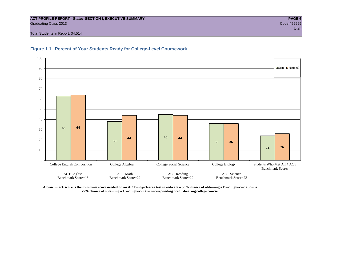#### **ACT PROFILE REPORT - State: SECTION I, EXECUTIVE SUMMARY PAGE 6** Graduating Class 2013 Code 459999

Total Students in Report: 34,514





**A benchmark score is the minimum score needed on an ACT subject-area test to indicate a 50% chance of obtaining a B or higher or about a 75% chance of obtaining a C or higher in the corresponding credit-bearing college course.**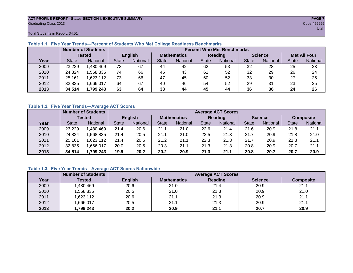#### **ACT PROFILE REPORT - State: SECTION I, EXECUTIVE SUMMARY PAGE 7** Graduating Class 2013 Code 459999

Total Students in Report: 34,514

|      |              | <b>Number of Students</b> |              | <b>Percent Who Met Benchmarks</b> |                    |          |                |          |                |          |                     |          |  |  |
|------|--------------|---------------------------|--------------|-----------------------------------|--------------------|----------|----------------|----------|----------------|----------|---------------------|----------|--|--|
|      |              | <b>Tested</b>             |              | <b>English</b>                    | <b>Mathematics</b> |          | <b>Reading</b> |          | <b>Science</b> |          | <b>Met All Four</b> |          |  |  |
| Year | <b>State</b> | <b>National</b>           | <b>State</b> | National                          |                    | National | <b>State</b>   | National |                | National | <b>State</b>        | National |  |  |
| 2009 | 23,229       | ,480,469                  | 73           | 67                                | 44                 | 42       | 62             | 53       | 32             | 28       | 25                  | 23       |  |  |
| 2010 | 24,824       | .568.835                  | 74           | 66                                | 45                 | 43       | 61             | 52       | 32             | 29       | 26                  | 24       |  |  |
| 2011 | 25,161       | ,623,112                  | 73           | 66                                | 47                 | 45       | 60             | 52       | 33             | 30       | 27                  | 25       |  |  |
| 2012 | 32,835       | ,666,017                  | 64           | 67                                | 40                 | 46       | 54             | 52       | 29             | 31       | 23                  | 25       |  |  |
| 2013 | 34,514       | 1,799,243                 | 63           | 64                                |                    | 44       | 45<br>44       |          | 36             | 36       | 24                  | 26       |  |  |

#### **Table 1.1. Five Year Trends—Percent of Students Who Met College Readiness Benchmarks**

#### **Table 1.2. Five Year Trends—Average ACT Scores**

|      |              | <b>Number of Students</b> |              |                 |                    | <b>Average ACT Scores</b> |                |                 |                |          |                  |          |  |  |  |
|------|--------------|---------------------------|--------------|-----------------|--------------------|---------------------------|----------------|-----------------|----------------|----------|------------------|----------|--|--|--|
|      |              | Tested                    |              | <b>English</b>  | <b>Mathematics</b> |                           | <b>Reading</b> |                 | <b>Science</b> |          | <b>Composite</b> |          |  |  |  |
| Year | <b>State</b> | National                  | <b>State</b> | <b>National</b> | <b>State</b>       | <b>National</b>           | <b>State</b>   | <b>National</b> | <b>State</b>   | National | <b>State</b>     | National |  |  |  |
| 2009 | 23,229       | .480.469                  | 21.4         | 20.6            | 21.1               | 21.0                      | 22.6           | 21.4            | 21.6           | 20.9     | 21.8             | 21.1     |  |  |  |
| 2010 | 24,824       | .568.835                  | 21.4         | 20.5            | 21.1               | 21.0                      | 22.5           | 21.3            | 21.7           | 20.9     | 21.8             | 21.0     |  |  |  |
| 2011 | 25.161       | .623,112                  | 21.4         | 20.6            | 21.2               | 21.1                      | 22.3           | 21.3            | 21.7           | 20.9     | 21.8             | 21.1     |  |  |  |
| 2012 | 32,835       | .666,017                  | 20.0         | 20.5            | 20.3               | 21.1                      | 21.3           | 21.3            | 20.8           | 20.9     | 20.7             | 21.1     |  |  |  |
| 2013 | 34,514       | 1,799,243                 | 19.9         | 20.2            | 20.2               | 20.9                      | 21.3           | 21.1            | 20.8           | 20.7     | 20.7             | 20.9     |  |  |  |

#### **Table 1.3. Five Year Trends—Average ACT Scores Nationwide**

|      | <b>Number of Students</b> |                | <b>Average ACT Scores</b> |         |                |                  |  |  |  |  |  |  |
|------|---------------------------|----------------|---------------------------|---------|----------------|------------------|--|--|--|--|--|--|
| Year | Tested                    | <b>English</b> | <b>Mathematics</b>        | Reading | <b>Science</b> | <b>Composite</b> |  |  |  |  |  |  |
| 2009 | ,480,469                  | 20.6           | 21.0                      | 21.4    | 20.9           | 21.1             |  |  |  |  |  |  |
| 2010 | ,568,835                  | 20.5           | 21.0                      | 21.3    | 20.9           | 21.0             |  |  |  |  |  |  |
| 2011 | ,623,112                  | 20.6           | 21.1                      | 21.3    | 20.9           | 21.1             |  |  |  |  |  |  |
| 2012 | ,666,017                  | 20.5           | 21.1                      | 21.3    | 20.9           | 21.1             |  |  |  |  |  |  |
| 2013 | ,799,243                  | 20.2           | 20.9                      | 21.1    | 20.7           | 20.9             |  |  |  |  |  |  |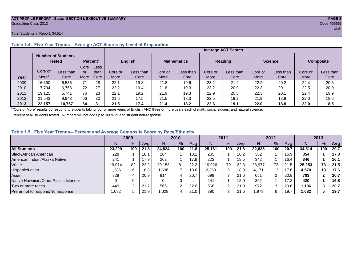#### **ACT PROFILE REPORT - State: SECTION I, EXECUTIVE SUMMARY PAGE 8** Graduating Class 2013 Code 459999

#### Total Students in Report: 34,514

|      |         | <b>Number of Students</b><br>Tested |      | Percent <sup>2</sup> |         | <b>English</b> |         | <b>Mathematics</b> |         | <b>Reading</b> |         | <b>Science</b> |         | <b>Composite</b> |
|------|---------|-------------------------------------|------|----------------------|---------|----------------|---------|--------------------|---------|----------------|---------|----------------|---------|------------------|
|      |         |                                     | Core | Less                 |         |                |         |                    |         |                |         |                |         |                  |
|      | Core or | Less than                           | or   | than                 | Core or | Less than      | Core or | Less than          | Core or | Less than      | Core or | Less than      | Core or | Less than        |
| Year | More    | Core                                | More | Core                 | More    | Core           | More    | Core               | More    | Core           | More    | Core           | More    | Core             |
| 2009 | 16,390  | 6,586                               | 71   | 28                   | 22.1    | 19.8           | 21.8    | 19.6               | 23.2    | 21.2           | 22.2    | 20.2           | 22.4    | 20.3             |
| 2010 | 17.794  | 6.768                               | 72   | 27                   | 22.2    | 19.4           | 21.8    | 19.3               | 23.2    | 20.9           | 22.3    | 20.1           | 22.5    | 20.0             |
| 2011 | 19,125  | 5,741                               | 76   | 23                   | 22.1    | 19.2           | 21.9    | 19.3               | 22.9    | 20.5           | 22.3    | 20.1           | 22.4    | 19.9             |
| 2012 | 21.543  | 9.948                               | 66   | 30                   | 21.5    | 17.5           | 21.5    | 18.3               | 22.5    | 19.2           | 21.9    | 18.9           | 22.0    | 18.6             |
| 2013 | 22.157  | 10,757                              | 64   | 31                   | 21.5    | 17.4           | 21.4    | 18.2               | 22.6    | 19.1           | 22.0    | 18.8           | 22.0    | 18.5             |

#### **Table 1.4. Five Year Trends—Average ACT Scores by Level of Preparation**

<sup>1</sup>"Core or More" results correspond to students taking four or more years of English AND three or more years each of math, social studies, and natural science.

 $2$ Percent of all students tested. Numbers will not add up to 100% due to student non-response.

#### **Table 1.5. Five Year Trends—Percent and Average Composite Score by Race/Ethnicity**

|                                        | 2009   |     |      | 2010   |               |      | 2011   |               |      | 2012   |     |      | 2013   |               |      |
|----------------------------------------|--------|-----|------|--------|---------------|------|--------|---------------|------|--------|-----|------|--------|---------------|------|
|                                        |        | %   | Avg  | N      | $\frac{9}{6}$ | Ava  | N      | $\frac{9}{6}$ | Avg  | N      | %   | Ava  | N      | $\frac{9}{6}$ | Avg  |
| <b>All Students</b>                    | 23.229 | 100 | 21.8 | 24.824 | 100           | 21.8 | 25.161 | 100           | 21.8 | 32.835 | 100 | 20.7 | 34.514 | 100           | 20.7 |
| Black/African American                 | 228    |     | 18.  | 264    |               | 18.1 | 265    |               | 18.2 | 352    |     | 16.9 | 354    |               | 17.0 |
| American Indian/Alaska Native          | 241    |     | 17.9 | 262    |               | 17.8 | 223    |               | 18.5 | 342    |     | 16.4 | 346    |               | 16.1 |
| White                                  | 19.014 | 82  | 22.2 | 20.153 | 81            | 22.2 | 19,926 | 79            | 22.3 | 23.977 | 73  | 21.5 | 25.253 | 73            | 21.5 |
| Hispanic/Latino                        | .386   | 6.  | 18.8 | 1.636  |               | 18.6 | 2,359  | 9             | 18.9 | 4.171  | 13  | 17.6 | 4,570  | 13            | 17.6 |
| Asian                                  | 829    |     | 20.9 | 914    | 4             | 20.7 | 699    | 3             | 21.6 | 651    |     | 20.9 | 703    |               | 20.7 |
| Native Hawaiian/Other Pacific Islander |        |     |      | 0      | 0             |      | 241    |               | 18.0 | 392    |     | 17.2 | 420    |               | 16.8 |
| Two or more races                      | 449    |     | 21.7 | 566    | 2             | 22.0 | 568    | ົ             | 21.9 | 972    | ົ   | 20.6 | 1.186  |               | 20.7 |
| Prefer not to respond/No response      | 0.082  |     | 21.9 | ,029   | 4             | 21.0 | 880    | 3             | 21.6 | ,978   | 6   | 19.7 | 1,682  |               | 19.7 |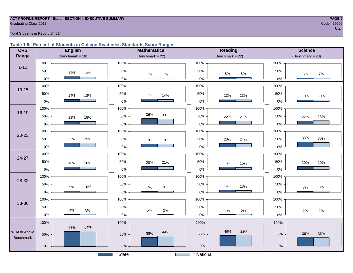### **ACT PROFILE REPORT - State: SECTION I, EXECUTIVE SUMMARY PAGE 9** Graduating Class 2013 Code 459999

#### Total Students in Report: 34,514

#### **Table 1.6. Percent of Students in College Readiness Standards Score Ranges**

| <b>CRS</b>    | <b>English</b>       | <b>Mathematics</b>     | <b>Reading</b>        | <b>Science</b>          |
|---------------|----------------------|------------------------|-----------------------|-------------------------|
| Range         | (Benchmark = $18$ )  | (Benchmark = $22$ )    | $(Benchmark = 22)$    | (Benchmark = $23$ )     |
|               | 100%                 | 100%                   | 100%                  | 100%                    |
| $1 - 12$      | 50%<br>14%<br>13%    | 50%<br>$1\%$<br>1%     | 50%<br>$8\%$<br>$8\%$ | 50%<br>$7\%$<br>6%      |
|               | $0\%$                | $0\%$                  | $0\%$                 | $0\%$                   |
| $13 - 15$     | 100%                 | 100%                   | 100%                  | 100%                    |
|               | 50%<br>14%<br>13%    | 50%<br>17%<br>14%      | 50%<br>13%<br>13%     | 50%<br>10%<br>10%       |
|               | $0\%$                | 0%                     | $0\%$                 | $0\%$                   |
|               | 100%                 | 100%                   | 100%                  | 100%                    |
| 16-19         | 50%<br>19%<br>18%    | 36%<br>33%<br>50%      | 50%<br>22%<br>21%     | 50%<br>23%<br>22%       |
|               | $0\%$                | $0\%$                  | $0\%$                 | $0\%$                   |
|               | 100%                 | 100%                   | 100%                  | 100%                    |
| $20 - 23$     | 50%<br>25%<br>25%    | 50%<br>19%<br>19%      | 50%<br>24%<br>23%     | 33%<br>$30\%$<br>50%    |
|               | $0\%$                | 0%                     | $0\%$                 | $0\%$                   |
|               | 100%                 | 100%                   | 100%                  | 100%                    |
| 24-27         | 50%<br>16%<br>16%    | 50%<br>21%<br>20%      | 50%<br>16%<br>15%     | 50%<br>20%<br>20%       |
|               | $0\%$                | $0\%$                  | $0\%$                 | $0\%$                   |
|               | 100%                 | 100%                   | 100%                  | 100%                    |
| 28-32         | 50%<br>9%<br>10%     | 50%<br>$9\%$<br>7%     | 50%<br>14%<br>13%     | 50%<br>$8\%$<br>$7\%$   |
|               | $0\%$                | 0%                     | $0\%$                 | $0\%$                   |
|               | 100%                 | 100%                   | 100%                  | 100%                    |
| 33-36         | 50%                  | 50%                    | 50%                   | 50%                     |
|               | $5\%$<br>4%<br>$0\%$ | $2\%$<br>3%<br>$0\%$   | 5%<br>4%<br>$0\%$     | $2\%$<br>$2\%$<br>$0\%$ |
|               | 100%                 | 100%                   | 100%                  | 100%                    |
| % At or Above | 64%<br>63%           | 44%                    | 45%<br>44%            |                         |
| Benchmark     | 50%                  | 38%<br>50%             | 50%                   | 36%<br>36%<br>50%       |
|               | $0\%$                | $0\%$                  | $0\%$                 | $0\%$                   |
|               |                      | $\overline{S}$ = State | = National            |                         |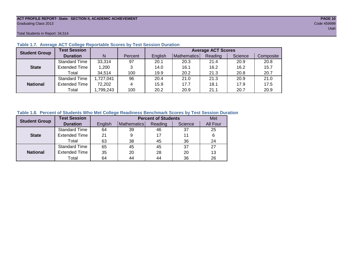#### **ACT PROFILE REPORT- State: SECTION II, ACADEMIC ACHIEVEMENT PAGE 10** Graduating Class 2013 Code 459999

Total Students in Report: 34,514

| <b>Student Group</b> | <b>Test Session</b>  |           |         | <b>Average ACT Scores</b> |             |         |         |           |  |  |  |  |
|----------------------|----------------------|-----------|---------|---------------------------|-------------|---------|---------|-----------|--|--|--|--|
|                      | <b>Duration</b>      | N         | Percent | English                   | Mathematics | Reading | Science | Composite |  |  |  |  |
|                      | <b>Standard Time</b> | 33,314    | 97      | 20.1                      | 20.3        | 21.4    | 20.9    | 20.8      |  |  |  |  |
| <b>State</b>         | <b>Extended Time</b> | 1,200     | 3       | 14.0                      | 16.1        | 16.2    | 16.2    | 15.7      |  |  |  |  |
|                      | Total                | 34,514    | 100     | 19.9                      | 20.2        | 21.3    | 20.8    | 20.7      |  |  |  |  |
|                      | <b>Standard Time</b> | 1,727,041 | 96      | 20.4                      | 21.0        | 21.3    | 20.9    | 21.0      |  |  |  |  |
| <b>National</b>      | <b>Extended Time</b> | 72,202    | 4       | 15.9                      | 17.7        | 18.1    | 17.9    | 17.5      |  |  |  |  |
|                      | Total                | ,799,243  | 100     | 20.2                      | 20.9        | 21.1    | 20.7    | 20.9      |  |  |  |  |

#### **Table 1.7. Average ACT College Reportable Scores by Test Session Duration**

#### **Table 1.8. Percent of Students Who Met College Readiness Benchmark Scores by Test Session Duration**

| <b>Student Group</b> | <b>Test Session</b>  |         | Met                |         |         |          |
|----------------------|----------------------|---------|--------------------|---------|---------|----------|
|                      | <b>Duration</b>      | English | <b>Mathematics</b> | Reading | Science | All Four |
|                      | <b>Standard Time</b> | 64      | 39                 | 46      | 37      | 25       |
| <b>State</b>         | <b>Extended Time</b> | 21      |                    | 17      | 11      | 6        |
|                      | Total                | 63      | 38                 | 45      | 36      | 24       |
|                      | <b>Standard Time</b> | 65      | 45                 | 45      | 37      | 27       |
| <b>National</b>      | <b>Extended Time</b> | 35      | 20                 | 28      | 20      | 13       |
|                      | Total                | 64      | 44                 | 44      | 36      | 26       |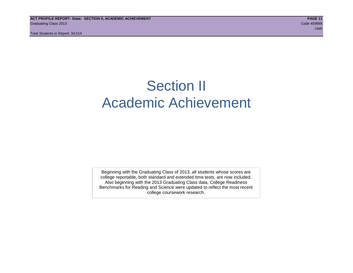## Section II Academic Achievement

Beginning with the Graduating Class of 2013, all students whose scores are college reportable, both standard and extended time tests, are now included. Also beginning with the 2013 Graduating Class data, College Readiness Benchmarks for Reading and Science were updated to reflect the most recent college coursework research.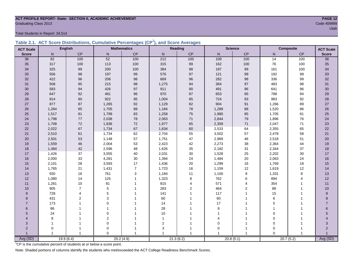### **ACT PROFILE REPORT- State: SECTION II, ACADEMIC ACHIEVEMENT PAGE 12** Graduating Class 2013 Code 459999

Total Students in Report: 34,514

|  | Table 2.1. ACT Score Distributions, Cumulative Percentages (CP <sup>1</sup> ), and Score Averages |  |  |  |
|--|---------------------------------------------------------------------------------------------------|--|--|--|
|  |                                                                                                   |  |  |  |

| <b>ACT Scale</b>      |                | <b>English</b> |                | <b>Mathematics</b> |                  | <b>Reading</b> |              | <b>Science</b>   |                 | <b>Composite</b><br><b>ACT Scale</b> |                 |
|-----------------------|----------------|----------------|----------------|--------------------|------------------|----------------|--------------|------------------|-----------------|--------------------------------------|-----------------|
| <b>Score</b>          | $\mathsf{N}$   | CP             | ${\sf N}$      | $\mathsf{CP}$      | N                | CP             | $\mathsf{N}$ | CP               | N               | $\mathsf{CP}$                        | <b>Score</b>    |
| 36                    | 82             | 100            | 52             | 100                | 212              | 100            | 109          | 100              | $\overline{14}$ | 100                                  | $\overline{36}$ |
| 35                    | 317            | 100            | 113            | 100                | 315              | 99             | 162          | 100              | 76              | 100                                  | 35              |
| 34                    | 325            | 99             | 200            | 100                | 384              | 98             | 197          | 99               | 161             | 100                                  | 34              |
| 33                    | 556            | 98             | 197            | 99                 | 576              | 97             | 121          | 99               | 192             | 99                                   | 33              |
| 32                    | 422            | 96             | 206            | $98\,$             | 669              | 96             | 282          | $98\,$           | 336             | 99                                   | 32              |
| 31                    | 508            | 95             | 215            | 98                 | 1,275            | 94             | 364          | 97               | 483             | 98                                   | 31              |
| 30                    | 583            | 94             | 426            | 97                 | 911              | 90             | 491          | 96               | 641             | 96                                   | 30              |
| 29                    | 647            | 92             | 481            | 96                 | 970              | 87             | 653          | 95               | 788             | 94                                   | 29              |
| 28                    | 914            | 90             | 922            | 95                 | 1,004            | 85             | 724          | 93               | 983             | 92                                   | 28              |
| 27                    | 877            | 87             | 1,265          | 92                 | 1,129            | 82             | 904          | 91               | 1,266           | 89                                   | $27\,$          |
| 26                    | 1,264          | 85             | 1,705          | 88                 | 1,184            | 78             | 1,289        | 88               | 1,520           | 86                                   | 26              |
| 25                    | 1,517          | 81             | 1,799          | 83                 | 1,258            | 75             | 1,980        | 85               | 1,705           | 81                                   | 25              |
| 24                    | 1,798          | 77             | 2,038          | 78                 | 2,063            | 71             | 2,844        | 79               | 1,896           | 76                                   | 24              |
| 23                    | 1,708          | $72\,$         | 1,836          | 72                 | 1,977            | 65             | 2,359        | $71$             | 2,047           | 71                                   | 23              |
| 22                    | 2,022          | 67             | 1,734          | 67                 | 1,634            | 60             | 2,533        | 64               | 2,355           | 65                                   | 22              |
| 21                    | 2,510          | 61             | 1,734          | 62                 | 2,704            | 55             | 3,502        | 57               | 2,478           | 58                                   | 21              |
| 20                    | 2,501          | 53             | 1,148          | 57                 | 1,751            | 47             | 2,969        | 46               | 2,518           | 51                                   | 20              |
| 19                    | 1,559          | 46             | 2,004          | 53                 | 2,423            | 42             | 2,273        | 38               | 2,364           | 44                                   | 19              |
| 18                    | 1,484          | 42             | 2,596          | 48                 | 1,626            | 35             | 2,182        | 31               | 2,344           | 37                                   | 18              |
| 17                    | 1,426          | 37             | 3,555          | $40\,$             | 2,031            | 30             | 1,528        | 25               | 2,202           | 30                                   | 17              |
| 16                    | 2,000          | 33             | 4,281          | 30                 | 1,394            | 24             | 1,484        | $20\,$           | 2,063           | 24                                   | 16              |
| 15                    | 2,101          | 28             | 3,593          | 17                 | 1,436            | 20             | 1,299        | 16               | 1,769           | 18                                   | 15              |
| 14                    | 1,765          | 21             | 1,431          | $\overline{7}$     | 1,723            | 16             | 1,159        | 12               | 1,619           | 12                                   | 14              |
| 13                    | 930            | 16             | 761            | $\sqrt{3}$         | 1,184            | 11             | 1,100        | $\boldsymbol{9}$ | 1,331           | 8                                    | 13              |
| 12                    | 1,080          | 14             | 125            | $\overline{1}$     | 1,323            | 8              | 762          | 6                | 894             | $\overline{4}$                       | 12              |
| 11                    | 1,261          | 10             | 81             |                    | 815              | 4              | 571          | 4                | 354             |                                      | 11              |
| 10                    | 905            | $\overline{7}$ | $\,$ 5 $\,$    |                    | 283              | 2              | 464          | $\overline{2}$   | 88              | 1                                    | 10              |
| 9                     | 728            | 4              | 5              |                    | 141              |                | 117          | 1                | 15              |                                      | 9               |
| 8                     | 431            | $\overline{2}$ | 3              |                    | 60               |                | 60           |                  | 6               |                                      | 8               |
| $\overline{7}$        | 173            |                | $\Omega$       |                    | 14               |                | 17           |                  | 5               |                                      | $\overline{7}$  |
| 6                     | 86             |                | $\overline{1}$ |                    | 28               |                | 9            | 1                |                 |                                      | $6\phantom{a}$  |
| 5                     | 24             |                | $\mathbf 0$    |                    | $10$             |                |              |                  | $\mathbf 0$     |                                      | 5               |
| $\boldsymbol{\Delta}$ | 8              |                | $\overline{c}$ |                    | 1                |                |              |                  | $\mathbf 0$     |                                      |                 |
| 3                     | 1              |                | $\mathbf 0$    |                    | $\boldsymbol{2}$ |                | $\Omega$     | -1               | $\mathbf 0$     |                                      | 3               |
| $\overline{2}$        | 0              |                | $\mathbf 0$    |                    | 3                |                | $\mathbf 0$  | -1               | $\mathbf 0$     |                                      | $\overline{2}$  |
|                       | $\overline{1}$ |                | $\Omega$       |                    | 1                | 1              |              | 1                | $\Omega$        |                                      |                 |
| Avg (SD)              |                | 19.9(6.4)      |                | 20.2(4.9)          |                  | 21.3(6.2)      |              | 20.8(5.1)        | 20.7(5.2)       |                                      | Avg (SD)        |

<sup>1</sup>CP is the cumulative percent of students at or below a score point.

Note: Shaded portions of columns identify the students who met/exceeded the ACT College Readiness Benchmark Scores.

utah di kacamatan di kacamatan di kacamatan di kacamatan di kacamatan di kacamatan di kacamatan di kacamatan d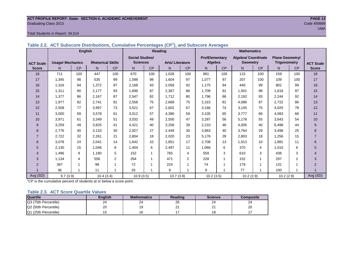#### **ACT PROFILE REPORT- State: SECTION II, ACADEMIC ACHIEVEMENT PAGE 13** Graduating Class 2013 Code 459999

#### Total Students in Report: 34,514

|                  |                         | <b>English</b> |                          |                | Reading                |           |                        |                | <b>Mathematics</b>    |           |                     |           |                        |     |                  |
|------------------|-------------------------|----------------|--------------------------|----------------|------------------------|-----------|------------------------|----------------|-----------------------|-----------|---------------------|-----------|------------------------|-----|------------------|
|                  |                         |                |                          |                | <b>Social Studies/</b> |           |                        |                | <b>Pre/Elementary</b> |           | Algebra/ Coordinate |           | <b>Plane Geometry/</b> |     |                  |
| <b>ACT Scale</b> | <b>Usage/ Mechanics</b> |                | <b>Rhetorical Skills</b> |                | <b>Sciences</b>        |           | <b>Arts/Literature</b> |                | Algebra               |           | <b>Geometry</b>     |           | Trigonometry           |     | <b>ACT Scale</b> |
| <b>Score</b>     | N                       | <b>CP</b>      | N.                       | <b>CP</b>      | N                      | <b>CP</b> | N <sub>1</sub>         | <b>CP</b>      | N                     | <b>CP</b> | N.                  | <b>CP</b> | N                      | CP  | <b>Score</b>     |
| 18               | 711                     | 100            | 447                      | 100            | 670                    | 100       | 1,028                  | 100            | 891                   | 100       | 115                 | 100       | 159                    | 100 | 18               |
| 17               | 1,345                   | 98             | 535                      | 99             | 1,598                  | 98        | 1,604                  | 97             | 1,077                 | 97        | 207                 | 100       | 109                    | 100 | 17               |
| 16               | 1,316                   | 94             | 1.372                    | 97             | 2,168                  | 93        | 2,058                  | 92             | 1.175                 | 94        | 440                 | 99        | 802                    | 99  | 16               |
| 15               | 1,311                   | 90             | 2.177                    | 93             | 1,696                  | 87        | 2,367                  | 86             | 1,709                 | 91        | 1,501               | 98        | 1.618                  | 97  | 15               |
| 14               | 1,377                   | 86             | 2.167                    | 87             | 2,547                  | 82        | 1,712                  | 80             | 1,796                 | 86        | 2,192               | 93        | 2,244                  | 92  | 14               |
| 13               | 1,977                   | 82             | 2.741                    | 81             | 2,558                  | 75        | 2,669                  | 75             | 2,315                 | 81        | 4,086               | 87        | 2.722                  | 86  | 13               |
| 12               | 2,508                   | 77             | 3.997                    | 73             | 3,521                  | 67        | 2,602                  | 67             | 3,166                 | 74        | 3,145               | 75        | 4,025                  | 78  | 12               |
| 11               | 3,000                   | 69             | 3,578                    | 61             | 3,012                  | 57        | 4,380                  | 59             | 3,105                 | 65        | 3.777               | 66        | 4,083                  | 66  | 11               |
| 10               | 3,971                   | 61             | 3,349                    | 51             | 3,032                  | 49        | 2,550                  | 47             | 3,287                 | 56        | 5.178               | 55        | 3.643                  | 54  | $10$             |
| 9                | 3,259                   | 49             | 3,825                    | 41             | 4,421                  | 40        | 3,258                  | 39             | 2,210                 | 46        | 4,005               | 40        | 6,498                  | 44  | 9                |
| 8                | 2.776                   | 40             | 3.133                    | 30             | 2,927                  | 27        | 2.449                  | 30             | 3,963                 | 40        | 3.764               | 29        | 3,498                  | 25  | 8                |
|                  | 2,722                   | 32             | 2,261                    | 21             | 2,804                  | 18        | 2,020                  | 23             | 5,176                 | 28        | 2,803               | 18        | 1.256                  | 15  | $\overline{7}$   |
| 6                | 3,078                   | 24             | 2,041                    | 14             | 1,642                  | 10        | 1,851                  | 17             | 2,708                 | 13        | 1,913               | 10        | 1.881                  | 11  | 6                |
| 5                | 2.130                   | 15             | 1.046                    | 8              | 1.404                  | 6         | 2.497                  | 11             | 1,066                 | 6         | 370                 | 4         | 1.010                  | 6   | 5                |
| 4                | 1.496                   | 9              | 1.180                    | 5              | 152                    |           | 765                    | 4              | 559                   | 3         | 610                 | 3         | 438                    | 3   | $\overline{4}$   |
| 3                | 1.134                   | $\overline{4}$ | 556                      | $\overline{2}$ | 264                    | -1        | 471                    | $\overline{2}$ | 228                   |           | 152                 | 1         | 297                    | 2   | 3                |
| $\overline{2}$   | 367                     |                | 98                       |                | 72                     |           | 224                    | 1              | 74                    |           | 179                 | -1        | 131                    |     | $\overline{2}$   |
|                  | 36                      |                | 11                       |                | 26                     |           | 9                      | 1              | 9                     |           | 77                  |           | 100                    |     |                  |
| Avg (SD)         | 9.7(3.9)                |                | 10.4(3.4)                |                | 10.9(3.5)              |           | 10.7(3.9)              |                | 10.2(3.5)             |           | 10.2(2.9)           |           | 10.2(2.9)              |     | Avg (SD)         |

**Table 2.2. ACT Subscore Distributions, Cumulative Percentages (CP<sup>1</sup> ), and Subscore Averages**

 $1$ <sup>-1</sup>CP is the cumulative percent of students at or below a score point.

#### **Table 2.3. ACT Score Quartile Values**

| <b>Quartile</b>      | <b>Enalish</b> | <b>Mathematics</b> | Reading | <b>Science</b> | Composite |
|----------------------|----------------|--------------------|---------|----------------|-----------|
| Q3 (75th Percentile) | 24             | 24                 | 26      | 24             | 24        |
| Q2 (50th Percentile) | 20             |                    | n.<br>∠ | ິ<br>-         | 20        |
| Q1 (25th Percentile) |                | 16                 |         | 1 ດ<br>۱o      |           |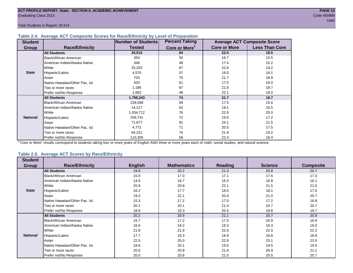Total Students in Report: 34,514

#### **Table 2.4. Average ACT Composite Scores for Race/Ethnicity by Level of Preparation**

| <b>Student</b>  |                                 | <b>Number of Students</b> | <b>Percent Taking</b>     |                     | <b>Average ACT Composite Score</b> |
|-----------------|---------------------------------|---------------------------|---------------------------|---------------------|------------------------------------|
| <b>Group</b>    | <b>Race/Ethnicity</b>           | <b>Tested</b>             | Core or More <sup>1</sup> | <b>Core or More</b> | <b>Less Than Core</b>              |
|                 | <b>All Students</b>             | 34,514                    | 64                        | 22.0                | 18.5                               |
|                 | Black/African American          | 354                       | 50                        | 18.7                | 15.5                               |
|                 | American Indian/Alaska Native   | 346                       | 49                        | 17.4                | 15.2                               |
|                 | White                           | 25,253                    | 67                        | 22.6                | 19.2                               |
| <b>State</b>    | Hispanic/Latino                 | 4,570                     | 57                        | 19.0                | 16.1                               |
|                 | Asian                           | 703                       | 70                        | 21.7                | 18.9                               |
|                 | Native Hawaiian/Other Pac. Isl. | 420                       | 61                        | 17.5                | 16.0                               |
|                 | I Two or more races             | 1,186                     | 67                        | 21.8                | 18.7                               |
|                 | Prefer not/No Response          | 1,682                     | 48                        | 22.1                | 18.0                               |
|                 | <b>All Students</b>             | 1,799,243                 | 74                        | 21.7                | 18.7                               |
|                 | Black/African American          | 239,598                   | 69                        | 17.5                | 15.6                               |
|                 | American Indian/Alaska Native   | 14,217                    | 62                        | 19.1                | 16.5                               |
|                 | <b>I</b> White                  | 1,034,712                 | 76                        | 22.9                | 20.0                               |
| <b>National</b> | Hispanic/Latino                 | 259,741                   | 72                        | 19.5                | 17.2                               |
|                 | Asian                           | 71,677                    | 81                        | 24.1                | 21.5                               |
|                 | Native Hawaiian/Other Pac. Isl. | 4,772                     | 71                        | 20.5                | 17.5                               |
|                 | Two or more races               | 64,221                    | 74                        | 21.9                | 19.2                               |
|                 | Prefer not/No Response          | 110,305                   | 58                        | 22.4                | 18.4                               |

<sup>1</sup>"Core or More" results correspond to students taking four or more years of English AND three or more years each of math, social studies, and natural science.

#### **Table 2.5. Average ACT Scores by Race/Ethnicity**

| <b>Student</b>  | <b>Race/Ethnicity</b>           |                | <b>Mathematics</b> | <b>Reading</b> | <b>Science</b> | <b>Composite</b> |
|-----------------|---------------------------------|----------------|--------------------|----------------|----------------|------------------|
| <b>Group</b>    |                                 | <b>English</b> |                    |                |                |                  |
|                 | <b>All Students</b>             | 19.9           | 20.2               | 21.3           | 20.8           | 20.7             |
|                 | <b>Black/African American</b>   | 15.9           | 17.0               | 17.1           | 17.6           | 17.0             |
|                 | American Indian/Alaska Native   | 14.0           | 16.7               | 16.5           | 16.8           | 16.1             |
|                 | White                           | 20.9           | 20.8               | 22.1           | 21.5           | 21.5             |
| <b>State</b>    | Hispanic/Latino                 | 16.2           | 17.7               | 18.0           | 18.1           | 17.6             |
|                 | Asian                           | 19.2           | 22.1               | 20.0           | 21.0           | 20.7             |
|                 | Native Hawaiian/Other Pac. Isl. | 15.3           | 17.2               | 17.0           | 17.2           | 16.8             |
|                 | Two or more races               | 20.1           | 20.1               | 21.4           | 20.7           | 20.7             |
|                 | Prefer not/No Response          | 18.8           | 19.3               | 20.4           | 19.8           | 19.7             |
|                 | <b>All Students</b>             | 20.2           | 20.9               | 21.1           | 20.7           | 20.9             |
|                 | Black/African American          | 15.7           | 17.2               | 17.0           | 16.9           | 16.9             |
|                 | American Indian/Alaska Native   | 16.6           | 18.2               | 18.3           | 18.3           | 18.0             |
|                 | White                           | 21.8           | 21.9               | 22.6           | 22.0           | 22.2             |
| <b>National</b> | Hispanic/Latino                 | 17.7           | 19.3               | 18.9           | 18.8           | 18.8             |
|                 | Asian                           | 22.5           | 25.0               | 22.9           | 23.1           | 23.5             |
|                 | Native Hawaiian/Other Pac. Isl. | 18.6           | 20.1               | 19.5           | 19.5           | 19.5             |
|                 | Two or more races               | 20.6           | 20.9               | 21.6           | 20.9           | 21.1             |
|                 | Prefer not/No Response          | 20.0           | 20.8               | 21.0           | 20.5           | 20.7             |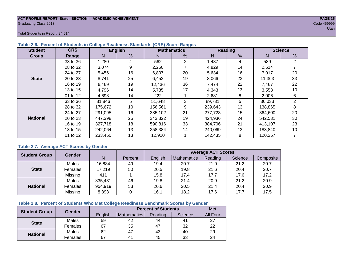#### **ACT PROFILE REPORT- State: SECTION II, ACADEMIC ACHIEVEMENT PAGE 15** Graduating Class 2013 Code 459999

Total Students in Report: 34,514

| <b>Student</b>  | <b>CRS</b> |         | <b>English</b> |         | <b>Mathematics</b> |         | <b>Reading</b> |         | <b>Science</b> |  |  |
|-----------------|------------|---------|----------------|---------|--------------------|---------|----------------|---------|----------------|--|--|
| Group           | Range      | N       | %              | N       | %                  | N       | %              | N       | %              |  |  |
|                 | 33 to 36   | 1,280   | 4              | 562     | $\mathfrak{p}$     | 1,487   | 4              | 589     | 2              |  |  |
|                 | 28 to 32   | 3,074   | 9              | 2,250   |                    | 4,829   | 14             | 2,514   |                |  |  |
|                 | 24 to 27   | 5,456   | 16             | 6,807   | 20                 | 5,634   | 16             | 7,017   | 20             |  |  |
| <b>State</b>    | 20 to 23   | 8,741   | 25             | 6,452   | 19                 | 8,066   | 23             | 11,363  | 33             |  |  |
|                 | 16 to 19   | 6,469   | 19             | 12,436  | 36                 | 7.474   | 22             | 7.467   | 22             |  |  |
|                 | 13 to 15   | 4,796   | 14             | 5,785   | 17                 | 4,343   | 13             | 3,558   | 10             |  |  |
|                 | 01 to 12   | 4,698   | 14             | 222     |                    | 2,681   | 8              | 2,006   | 6              |  |  |
|                 | 33 to 36   | 81,846  | 5              | 51,648  | 3                  | 89,731  | 5              | 36,033  | $\overline{2}$ |  |  |
|                 | 28 to 32   | 175,672 | 10             | 156,561 | 9                  | 239,643 | 13             | 138,865 | 8              |  |  |
|                 | 24 to 27   | 291.095 | 16             | 385.102 | 21                 | 277.723 | 15             | 364,600 | 20             |  |  |
| <b>National</b> | 20 to 23   | 447.398 | 25             | 343.822 | 19                 | 424,936 | 24             | 542.531 | 30             |  |  |
|                 | 16 to 19   | 327,718 | 18             | 590,816 | 33                 | 384.706 | 21             | 413,107 | 23             |  |  |
|                 | 13 to 15   | 242,064 | 13             | 258.384 | 14                 | 240,069 | 13             | 183,840 | 10             |  |  |
|                 | 01 to 12   | 233,450 | 13             | 12,910  |                    | 142,435 | 8              | 120,267 |                |  |  |

#### **Table 2.6. Percent of Students in College Readiness Standards (CRS) Score Ranges**

#### **Table 2.7. Average ACT Scores by Gender**

| <b>Student Group</b> | <b>Gender</b>  |         |         | <b>Average ACT Scores</b> |             |         |         |           |  |  |  |
|----------------------|----------------|---------|---------|---------------------------|-------------|---------|---------|-----------|--|--|--|
|                      |                | N       | Percent | English                   | Mathematics | Reading | Science | Composite |  |  |  |
|                      | Males          | 16,884  | 49      | 19.4                      | 20.7        | 21.0    | 21.2    | 20.7      |  |  |  |
| <b>State</b>         | <b>Females</b> | 17,219  | 50      | 20.5                      | 19.8        | 21.6    | 20.4    | 20.7      |  |  |  |
|                      | Missing        | 411     |         | 15.8                      | 17.4        | 17.7    | 17.6    | 17.2      |  |  |  |
|                      | Males          | 835,431 | 46      | 19.8                      | 21.4        | 20.9    | 21.2    | 20.9      |  |  |  |
| <b>National</b>      | Females        | 954,919 | 53      | 20.6                      | 20.5        | 21.4    | 20.4    | 20.9      |  |  |  |
|                      | Missing        | 8,893   |         | 16.1                      | 18.2        | 17.6    | 17.7    | 17.5      |  |  |  |

#### **Table 2.8. Percent of Students Who Met College Readiness Benchmark Scores by Gender**

|                      | Gender  |         | Met                |         |         |          |
|----------------------|---------|---------|--------------------|---------|---------|----------|
| <b>Student Group</b> |         | English | <b>Mathematics</b> | Reading | Science | All Four |
| <b>State</b>         | Males   | 59      | 42                 | 44      | 41      | 27       |
|                      | Females | 67      | 35                 | 47      | 32      | 22       |
| <b>National</b>      | Males   | 62      | 47                 | 43      | 40      | 29       |
|                      | Females | 67      | 4 <sup>1</sup>     | 45      | 33      | 24       |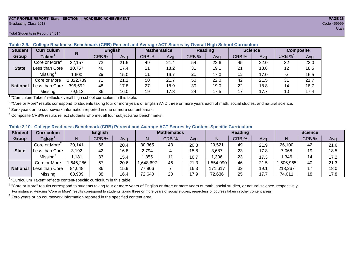#### **ACT PROFILE REPORT- State: SECTION II, ACADEMIC ACHIEVEMENT PAGE 16** Graduating Class 2013 Code 459999

#### Total Students in Report: 34,514

| <b>Student</b>  | <b>Curriculum</b>         | N        | <b>English</b> |      | <b>Mathematics</b> |      | <b>Reading</b> |      | <b>Science</b> |      | <b>Composite</b> |      |
|-----------------|---------------------------|----------|----------------|------|--------------------|------|----------------|------|----------------|------|------------------|------|
| Group           | Taken $^{\rm \texttt{1}}$ |          | CRB %          | Avg  | CRB %              | Ava  | CRB %          | Avg  | CRB %          | Ava  | CRB $%^4$        | Avg  |
|                 | Core or More <sup>2</sup> | 22,157   | 73             | 21.5 | 49                 | 21.4 | 54             | 22.6 | 45             | 22.0 | 32               | 22.0 |
| <b>State</b>    | Less than Core            | 10,757   | 46             | 17.4 | 21                 | 18.2 | 31             | 19.1 | 21             | 18.8 | 12               | 18.5 |
|                 | Missing <sup>3</sup>      | .600     | 29             | 15.0 |                    | 16.7 | 21             | 17.0 | 13             | 17.0 | 6                | 16.5 |
|                 | Core or More              | ,322,739 | 71             | 21.2 | 50                 | 21.7 | 50             | 22.0 | 42             | 21.5 | 31               | 21.7 |
| <b>National</b> | Less than Core            | 396,592  | 48             | 17.8 | 27                 | 18.9 | 30             | 19.0 | 22             | 18.8 | 14               | 18.7 |
|                 | Missing                   | 79,912   | 36             | 16.0 | 19                 | 17.8 | 24             | 17.5 | 17             | 17.7 | 10               | 17.4 |

**Table 2.9. College Readiness Benchmark (CRB) Percent and Average ACT Scores by Overall High School Curriculum**

<sup>1</sup> "Curriculum Taken" reflects overall high school curriculum in this table.

 $^2$  "Core or More" results correspond to students taking four or more years of English AND three or more years each of math, social studies, and natural science.

 $3$  Zero years or no coursework information reported in one or more content areas.

 $4$  Composite CRB% results reflect students who met all four subject-area benchmarks.

|  |  |  |  |  | Table 2.10. College Readiness Benchmark (CRB) Percent and Average ACT Scores by Content-Specific Curriculum |
|--|--|--|--|--|-------------------------------------------------------------------------------------------------------------|
|--|--|--|--|--|-------------------------------------------------------------------------------------------------------------|

| <b>Student</b>  | <b>Curriculum</b>             |          | <b>English</b> |      |         | <b>Mathematics</b> |      |          | <b>Reading</b> |      |          | <b>Science</b> |      |  |
|-----------------|-------------------------------|----------|----------------|------|---------|--------------------|------|----------|----------------|------|----------|----------------|------|--|
| Group           | $\mathsf{Taken}^{\mathsf{T}}$ |          | CRB %          | Avg  | N       | CRB %              | Avg  | N        | CRB %          | Avg  | N        | CRB %          | Avg  |  |
|                 | Core or More <sup>2</sup>     | 30,141   | 66             | 20.4 | 30,365  | 43                 | 20.8 | 29,521   | 49             | 21.9 | 26,100   | 42             | 21.6 |  |
| <b>State</b>    | Less than Corel               | 3,192    | 42             | 16.8 | 2,794   |                    | 15.8 | 3,687    | 23             | 17.8 | 7.068    | 19             | 18.5 |  |
|                 | Missing <sup>3</sup>          | ,181     | 33             | 15.4 | ,355    |                    | 16.7 | ,306     | 23             | 17.3 | ,346     | 14             | 17.2 |  |
|                 | Core or More                  | ,646,286 | 67             | 20.6 | 648,697 | 46                 | 21.3 | ,554,990 | 46             | 21.5 | ,506,965 | 40             | 21.3 |  |
| <b>National</b> | Less than Corel               | 84,048   | 36             | 15.9 | 77,906  |                    | 16.3 | 171,617  | 32             | 19.1 | 218,267  | 17             | 18.0 |  |
|                 | Missing                       | 68,909   | 38             | 16.4 | 72,640  | 20                 | 17.9 | 72,636   | 25             | 17.7 | 74,011   | 18             | 17.8 |  |

<sup>1</sup>"Curriculum Taken" reflects content-specific curriculum in this table.

<sup>2</sup> "Core or More" results correspond to students taking four or more years of English or three or more years of math, social studies, or natural science, respectively. For instance, Reading "Core or More" results correspond to students taking three or more years of social studies, regardless of courses taken in other content areas.

 $3$  Zero years or no coursework information reported in the specified content area.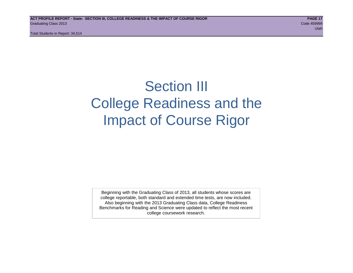Total Students in Report: 34,514

## Section III College Readiness and the Impact of Course Rigor

Beginning with the Graduating Class of 2013, all students whose scores are college reportable, both standard and extended time tests, are now included. Also beginning with the 2013 Graduating Class data, College Readiness Benchmarks for Reading and Science were updated to reflect the most recent college coursework research.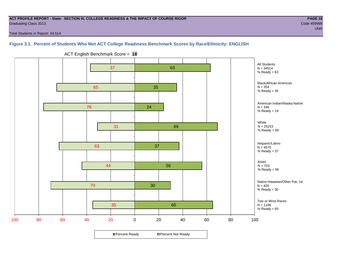#### **ACT PROFILE REPORT - State: SECTION III, COLLEGE READINESS & THE IMPACT OF COURSE RIGOR PAGE 18** Graduating Class 2013 Code 459999

Total Students in Report: 34,514

#### **Figure 3.1. Percent of Students Who Met ACT College Readiness Benchmark Scores by Race/Ethnicity: ENGLISH**



ACT English Benchmark Score = **18**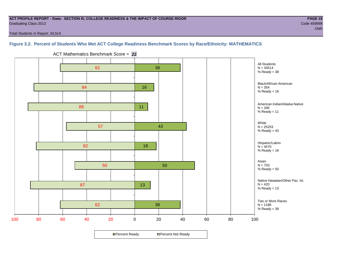#### **ACT PROFILE REPORT - State: SECTION III, COLLEGE READINESS & THE IMPACT OF COURSE RIGOR PAGE 19** Graduating Class 2013 Code 459999

Total Students in Report: 34,514

#### **Figure 3.2. Percent of Students Who Met ACT College Readiness Benchmark Scores by Race/Ethnicity: MATHEMATICS**

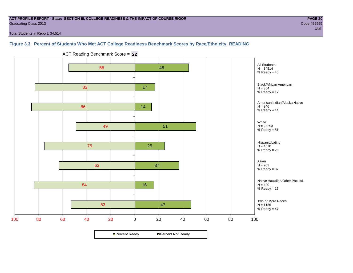#### **ACT PROFILE REPORT - State: SECTION III, COLLEGE READINESS & THE IMPACT OF COURSE RIGOR PAGE 20** Graduating Class 2013 Code 459999

Total Students in Report: 34,514

#### **Figure 3.3. Percent of Students Who Met ACT College Readiness Benchmark Scores by Race/Ethnicity: READING**



ACT Reading Benchmark Score = **22**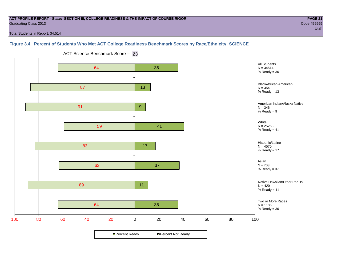#### **ACT PROFILE REPORT - State: SECTION III, COLLEGE READINESS & THE IMPACT OF COURSE RIGOR PAGE 21** Graduating Class 2013 Code 459999

Total Students in Report: 34,514

#### **Figure 3.4. Percent of Students Who Met ACT College Readiness Benchmark Scores by Race/Ethnicity: SCIENCE**



ACT Science Benchmark Score = **23**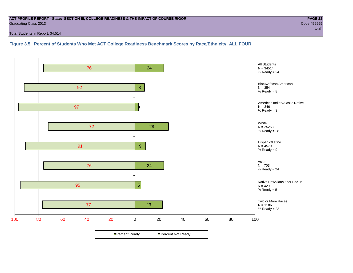#### **ACT PROFILE REPORT - State: SECTION III, COLLEGE READINESS & THE IMPACT OF COURSE RIGOR PAGE 22** Graduating Class 2013 Code 459999

Total Students in Report: 34,514

**Figure 3.5. Percent of Students Who Met ACT College Readiness Benchmark Scores by Race/Ethnicity: ALL FOUR**

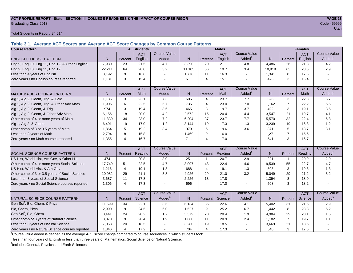#### **ACT PROFILE REPORT - State: SECTION III, COLLEGE READINESS & THE IMPACT OF COURSE RIGOR PAGE 23** Graduating Class 2013 Code 459999

Total Students in Report: 34,514

**Table 3.1. Average ACT Scores and Average ACT Score Changes by Common Course Patterns**

| <b>Course Pattern</b>                            |        |                | <b>All Students</b> |                     |              |                | <b>Males</b> |                     |        | <b>Females</b> |            |                        |
|--------------------------------------------------|--------|----------------|---------------------|---------------------|--------------|----------------|--------------|---------------------|--------|----------------|------------|------------------------|
|                                                  |        |                | <b>ACT</b>          | <b>Course Value</b> |              |                | <b>ACT</b>   | <b>Course Value</b> |        |                | <b>ACT</b> | <b>Course Value</b>    |
| <b>ENGLISH COURSE PATTERN</b>                    | N.     | Percent        | English             | Added               | N            | Percent        | English      | Added               | N      | Percent        | English    | A d d e d <sup>1</sup> |
| Eng 9, Eng 10, Eng 11, Eng 12, & Other English   | 7,930  | 23             | 21.5                | 4.7                 | 3,390        | 20             | 21.1         | 4.8                 | 4,486  | 26             | 21.8       | 4.2                    |
| Eng 9, Eng 10, Eng 11, Eng 12                    | 22,211 | 64             | 20.0                | 3.2                 | 11,105       | 66             | 19.7         | 3.4                 | 10,919 | 63             | 20.5       | 2.9                    |
| Less than 4 years of English                     | 3.192  | 9              | 16.8                |                     | 1,778        | 11             | 16.3         | $\sim$              | 1,341  | 8              | 17.6       |                        |
| Zero years / no English courses reported         | 1,181  | 3              | 15.4                |                     | 611          | $\overline{4}$ | 15.1         | $\blacksquare$      | 473    | 3              | 16.4       |                        |
|                                                  |        |                | <b>ACT</b>          | <b>Course Value</b> |              |                | <b>ACT</b>   | <b>Course Value</b> |        |                | <b>ACT</b> | <b>Course Value</b>    |
| <b>MATHEMATICS COURSE PATTERN</b>                | N.     | Percent        | Math                | Added               | N            | Percent        | Math         | Added <sup>1</sup>  | N      | Percent        | Math       | A d d e d <sup>1</sup> |
| Alg 1, Alg 2, Geom, Trig, & Calc                 | 1.136  | 3              | 23.1                | 7.3                 | 605          | 4              | 23.7         | 7.7                 | 526    | 3              | 22.3       | 6.7                    |
| Alg 1, Alg 2, Geom, Trig, & Other Adv Math       | 1,905  | 6              | 22.5                | 6.7                 | 735          | $\overline{4}$ | 23.0         | 7.0                 | 1,162  | $\overline{7}$ | 22.2       | 6.6                    |
| Alg 1, Alg 2, Geom, & Trig                       | 974    | 3              | 19.4                | 3.6                 | 465          | 3              | 19.7         | 3.7                 | 492    | 3              | 19.1       | 3.5                    |
| Alg 1, Alg 2, Geom, & Other Adv Math             | 6.156  | 18             | 20.0                | 4.2                 | 2,572        | 15             | 20.4         | 4.4                 | 3,547  | 21             | 19.7       | 4.1                    |
| Other comb of 4 or more years of Math            | 11,839 | 34             | 23.0                | 7.2                 | 6,204        | 37             | 23.7         | 7.7                 | 5,570  | 32             | 22.4       | 6.8                    |
| Alg 1, Alg 2, & Geom                             | 6,491  | 19             | 17.0                | 1.2                 | 3,144        | 19             | 17.3         | 1.3                 | 3,239  | 19             | 16.8       | 1.2                    |
| Other comb of 3 or 3.5 years of Math             | 1,864  | 5              | 19.2                | 3.4                 | 979          | 6              | 19.6         | 3.6                 | 871    | 5              | 18.7       | 3.1                    |
| Less than 3 years of Math                        | 2.794  | 8              | 15.8                |                     | 1,469        | 9              | 16.0         | $\sim$              | 1,271  | $\overline{7}$ | 15.6       |                        |
| Zero years / no Math courses reported            | 1,355  | 4              | 16.7                |                     | 711          | $\overline{4}$ | 17.0         | $\sim$              | 541    | 3              | 16.7       |                        |
|                                                  |        |                | <b>ACT</b>          | <b>Course Value</b> |              |                | <b>ACT</b>   | <b>Course Value</b> |        |                | <b>ACT</b> | <b>Course Value</b>    |
| <b>SOCIAL SCIENCE COURSE PATTERN</b>             | N      | Percent        | Reading             | Added <sup>1</sup>  | $\mathsf{N}$ | Percent        | Reading      | Added <sup>1</sup>  | N      | Percent        | Reading    | A d d e d <sup>1</sup> |
| US Hist, World Hist, Am Gov, & Other Hist        | 474    | 1              | 20.8                | 3.0                 | 251          | $\mathbf{1}$   | 20.7         | 2.9                 | 221    | $\mathbf{1}$   | 20.9       | 2.9                    |
| Other comb of 4 or more years Social Science     | 17,749 | 51             | 22.5                | 4.7                 | 8,097        | 48             | 22.4         | 4.6                 | 9,539  | 55             | 22.7       | 4.7                    |
| US Hist, World Hist, & Am Gov                    | 1,216  | 4              | 19.1                | 1.3                 | 688          | $\overline{4}$ | 19.1         | 1.3                 | 508    | 3              | 19.3       | 1.3                    |
| Other comb of 3 or 3.5 years of Social Science   | 10,082 | 29             | 21.1                | 3.3                 | 4,926        | 29             | 21.0         | 3.2                 | 5,049  | 29             | 21.2       | 3.2                    |
| Less than 3 years of Social Science              | 3,687  | 11             | 17.8                |                     | 2,226        | 13             | 17.8         | $\sim$              | 1,394  | 8              | 18.0       |                        |
| Zero years / no Social Science courses reported  | 1,306  | 4              | 17.3                |                     | 696          | $\overline{4}$ | 17.0         | $\sim$              | 508    | 3              | 18.2       |                        |
|                                                  |        |                | <b>ACT</b>          | <b>Course Value</b> |              |                | <b>ACT</b>   | <b>Course Value</b> |        |                | <b>ACT</b> | <b>Course Value</b>    |
| NATURAL SCIENCE COURSE PATTERN                   | N.     | Percent        | Science             | Added               | N            | Percent        | Science      | Added <sup>1</sup>  | N      | Percent        | Science    | A d d e d <sup>1</sup> |
| Gen Sci <sup>2</sup> , Bio, Chem, & Phys         | 11,599 | 34             | 22.1                | 3.6                 | 6,134        | 36             | 22.6         | 4.1                 | 5,402  | 31             | 21.5       | 2.9                    |
| Bio, Chem, Phys                                  | 2,990  | 9              | 24.5                | 6.0                 | 1,527        | 9              | 25.2         | 6.7                 | 1,442  | 8              | 23.8       | 5.2                    |
| Gen Sci <sup>2</sup> , Bio, Chem                 | 8,441  | 24             | 20.2                | 1.7                 | 3,379        | 20             | 20.4         | 1.9                 | 4,984  | 29             | 20.1       | 1.5                    |
| Other comb of 3 years of Natural Science         | 3,070  | 9              | 20.4                | 1.9                 | 1,860        | 11             | 20.9         | 2.4                 | 1,182  | $\overline{7}$ | 19.7       | 1.1                    |
| Less than 3 years of Natural Science             | 7,068  | 20             | 18.5                |                     | 3,280        | 19             | 18.5         |                     | 3,669  | 21             | 18.6       |                        |
| Zero years / no Natural Science courses reported | 1,346  | $\overline{4}$ | 17.2                |                     | 704          | $\overline{4}$ | 17.3         | $\sim$              | 540    | 3              | 17.5       |                        |

<sup>1</sup>Course value added is defined as the average ACT score change compared to course sequences in which students took

less than four years of English or less than three years of Mathematics, Social Science or Natural Science.

<sup>2</sup>Includes General, Physical and Earth Sciences.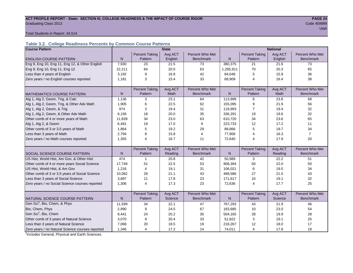#### ACT PROFILE REPORT - State: SECTION III, COLLEGE READINESS & THE IMPACT OF COURSE RIGOR **PAGE 24 Graduating Class 2013** Code 459999

utah di kacamatan di kacamatan di kacamatan di kacamatan di kacamatan di kacamatan di kacamatan di kacamatan d

Total Students in Report: 34,514

#### **Table 3.2. College Readiness Percents by Common Course Patterns**

| <b>Course Pattern</b>                            |              |                         | <b>State</b> |                  |              |                       | <b>National</b> |                  |
|--------------------------------------------------|--------------|-------------------------|--------------|------------------|--------------|-----------------------|-----------------|------------------|
|                                                  |              | <b>Percent Taking</b>   | Avg ACT      | Percent Who Met  |              | <b>Percent Taking</b> | Avg ACT         | Percent Who Met  |
| <b>ENGLISH COURSE PATTERN</b>                    | $\mathsf{N}$ | Pattern                 | English      | <b>Benchmark</b> | $\mathsf{N}$ | Pattern               | English         | <b>Benchmark</b> |
| Eng 9, Eng 10, Eng 11, Eng 12, & Other English   | 7,930        | 23                      | 21.5         | 73               | 380,375      | 21                    | 21.6            | 73               |
| Eng 9, Eng 10, Eng 11, Eng 12                    | 22,211       | 64                      | 20.0         | 63               | 1,265,911    | 70                    | 20.3            | 65               |
| Less than 4 years of English                     | 3,192        | 9                       | 16.8         | 42               | 84,048       | 5                     | 15.9            | 36               |
| Zero years / no English courses reported         | 1,181        | 3                       | 15.4         | 33               | 68,909       | 4                     | 16.4            | 38               |
|                                                  |              |                         |              |                  |              |                       |                 |                  |
|                                                  |              | <b>Percent Taking</b>   | Avg ACT      | Percent Who Met  |              | <b>Percent Taking</b> | Avg ACT         | Percent Who Met  |
| <b>MATHEMATICS COURSE PATTERN</b>                | N            | Pattern                 | Math         | <b>Benchmark</b> | N            | Pattern               | Math            | <b>Benchmark</b> |
| Alg 1, Alg 2, Geom, Trig, & Calc                 | 1,136        | 3                       | 23.1         | 64               | 113,999      | 6                     | 23.8            | 68               |
| Alg 1, Alg 2, Geom, Trig, & Other Adv Math       | 1,905        | 6                       | 22.5         | 62               | 155,095      | 9                     | 21.9            | 56               |
| Alg 1, Alg 2, Geom, & Trig                       | 974          | 3                       | 19.4         | 31               | 119,993      | 7                     | 19.4            | 32               |
| Alg 1, Alg 2, Geom, & Other Adv Math             | 6,156        | 18                      | 20.0         | 35               | 336,291      | 19                    | 19.6            | 32               |
| Other comb of 4 or more years of Math            | 11,839       | 34                      | 23.0         | 63               | 610,720      | 34                    | 23.6            | 65               |
| Alg 1, Alg 2, & Geom                             | 6,491        | 19                      | 17.0         | 9                | 223,733      | 12                    | 17.2            | 11               |
| Other comb of 3 or 3.5 years of Math             | 1.864        | 5                       | 19.2         | 29               | 88,866       | 5                     | 19.7            | 34               |
| Less than 3 years of Math                        | 2,794        | 8                       | 15.8         | $\overline{4}$   | 77,906       | 4                     | 16.3            | $\overline{7}$   |
| Zero years / no Math courses reported            | 1,355        | 4                       | 16.7         | 11               | 72,640       | 4                     | 17.9            | 20               |
|                                                  |              |                         |              |                  |              |                       |                 |                  |
|                                                  |              | <b>Percent Taking</b>   | Avg ACT      | Percent Who Met  |              | Percent Taking        | Avg ACT         | Percent Who Met  |
| SOCIAL SCIENCE COURSE PATTERN                    | N            | Pattern                 | Reading      | <b>Benchmark</b> | N            | Pattern               | Reading         | <b>Benchmark</b> |
| US Hist, World Hist, Am Gov, & Other Hist        | 474          | $\mathbf 1$             | 20.8         | 42               | 50,989       | 3                     | 22.2            | 51               |
| Other comb of 4 or more years Social Science     | 17,749       | 51                      | 22.5         | 53               | 908,394      | 50                    | 22.0            | 50               |
| US Hist, World Hist, & Am Gov                    | 1,216        | 4                       | 19.1         | 31               | 106,021      | 6                     | 19.5            | 34               |
| Other comb of 3 or 3.5 years of Social Science   | 10,082       | 29                      | 21.1         | 43               | 489,586      | 27                    | 21.0            | 43               |
| Less than 3 years of Social Science              | 3,687        | 11                      | 17.8         | 23               | 171,617      | 10                    | 19.1            | 32               |
| Zero years / no Social Science courses reported  | 1,306        | $\overline{\mathbf{4}}$ | 17.3         | 23               | 72,636       | 4                     | 17.7            | 25               |
|                                                  |              |                         |              |                  |              |                       |                 |                  |
|                                                  |              | <b>Percent Taking</b>   | Avg ACT      | Percent Who Met  |              | <b>Percent Taking</b> | Avg ACT         | Percent Who Met  |
| NATURAL SCIENCE COURSE PATTERN                   | N            | Pattern                 | Science      | <b>Benchmark</b> | N            | Pattern               | Science         | <b>Benchmark</b> |
| Gen Sci <sup>1</sup> , Bio, Chem, & Phys         | 11,599       | 34                      | 22.1         | 47               | 767,293      | 43                    | 21.9            | 46               |
| Bio, Chem, Phys                                  | 2,990        | 9                       | 24.5         | 67               | 183,685      | 10                    | 23.0            | 54               |
| Gen Sci <sup>1</sup> , Bio, Chem                 | 8,441        | 24                      | 20.2         | 30               | 504,165      | 28                    | 19.9            | 28               |
| Other comb of 3 years of Natural Science         | 3,070        | 9                       | 20.4         | 33               | 51,822       | 3                     | 19.1            | 25               |
| Less than 3 years of Natural Science             | 7,068        | 20                      | 18.5         | 19               | 218,267      | 12                    | 18.0            | 17               |
| Zero years / no Natural Science courses reported | 1,346        | 4                       | 17.2         | 14               | 74,011       | 4                     | 17.8            | 18               |

<sup>1</sup>Includes General, Physical and Earth Sciences.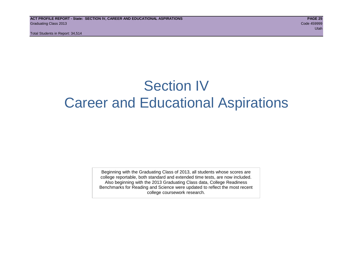Total Students in Report: 34,514

## Section IV Career and Educational Aspirations

Beginning with the Graduating Class of 2013, all students whose scores are college reportable, both standard and extended time tests, are now included. Also beginning with the 2013 Graduating Class data, College Readiness Benchmarks for Reading and Science were updated to reflect the most recent college coursework research.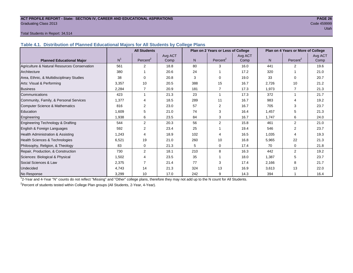#### **ACT PROFILE REPORT - State: SECTION IV, CAREER AND EDUCATIONAL ASPIRATIONS PAGE 26** Graduating Class 2013 Code 459999

#### Total Students in Report: 34,514

**Table 4.1. Distribution of Planned Educational Majors for All Students by College Plans**

|                                              |                | <b>All Students</b>  |                 | Plan on 2 Years or Less of College |                        |                 | Plan on 4 Years or More of College |                      |                 |  |
|----------------------------------------------|----------------|----------------------|-----------------|------------------------------------|------------------------|-----------------|------------------------------------|----------------------|-----------------|--|
| <b>Planned Educational Major</b>             | N <sup>1</sup> | Percent <sup>2</sup> | Avg ACT<br>Comp | N.                                 | Percent <sup>2</sup>   | Avg ACT<br>Comp | N <sub>1</sub>                     | Percent <sup>2</sup> | Avg ACT<br>Comp |  |
| Agriculture & Natural Resources Conservation | 561            | 2                    | 18.8            | 80                                 | 3                      | 16.0            | 441                                | $\overline{2}$       | 19.6            |  |
| Architecture                                 | 380            |                      | 20.6            | 24                                 |                        | 17.2            | 320                                |                      | 21.0            |  |
| Area, Ethnic, & Multidisciplinary Studies    | 38             | $\Omega$             | 20.8            | 3                                  | $\Omega$               | 19.0            | 33                                 | $\Omega$             | 20.7            |  |
| Arts: Visual & Performing                    | 3,357          | 10                   | 20.5            | 388                                | 15                     | 16.7            | 2,726                              | 10                   | 21.2            |  |
| <b>Business</b>                              | 2,284          | 7                    | 20.9            | 181                                | $\overline{7}$         | 17.3            | 1,973                              | 7                    | 21.3            |  |
| Communications                               | 423            | 1                    | 21.3            | 23                                 |                        | 17.3            | 372                                | 1                    | 21.7            |  |
| Community, Family, & Personal Services       | 1,377          | 4                    | 18.5            | 289                                | 11                     | 16.7            | 983                                | 4                    | 19.2            |  |
| Computer Science & Mathematics               | 816            | 2                    | 23.0            | 57                                 | 2                      | 16.7            | 705                                | 3                    | 23.7            |  |
| <b>Education</b>                             | 1,609          | 5                    | 21.0            | 74                                 | 3                      | 16.4            | 1,457                              | 5                    | 21.3            |  |
| Engineering                                  | 1,938          | 6                    | 23.5            | 84                                 | 3                      | 16.7            | 1,747                              | 6                    | 24.0            |  |
| Engineering Technology & Drafting            | 544            | 2                    | 20.3            | 56                                 | $\overline{2}$         | 15.8            | 461                                | $\overline{2}$       | 21.0            |  |
| English & Foreign Languages                  | 592            | 2                    | 23.4            | 25                                 |                        | 19.4            | 546                                | 2                    | 23.7            |  |
| <b>Health Administration &amp; Assisting</b> | 1.243          | 4                    | 18.9            | 102                                | $\boldsymbol{\Lambda}$ | 16.5            | 1,035                              | 4                    | 19.3            |  |
| Health Sciences & Technologies               | 6,521          | 19                   | 21.0            | 260                                | 10                     | 16.8            | 5,965                              | 22                   | 21.3            |  |
| Philosophy, Religion, & Theology             | 83             | 0                    | 21.3            | 5                                  | $\Omega$               | 17.4            | 70                                 | 0                    | 21.8            |  |
| Repair, Production, & Construction           | 730            | 2                    | 18.1            | 210                                | 8                      | 16.3            | 442                                | $\overline{2}$       | 19.2            |  |
| Sciences: Biological & Physical              | 1,502          | 4                    | 23.5            | 35                                 |                        | 18.0            | 1,387                              | 5                    | 23.7            |  |
| Social Sciences & Law                        | 2,375          |                      | 21.4            | 77                                 | 3                      | 17.4            | 2,166                              | 8                    | 21.7            |  |
| <b>Undecided</b>                             | 4,743          | 14                   | 21.3            | 324                                | 13                     | 16.9            | 3,613                              | 13                   | 22.0            |  |
| No Response                                  | 3,299          | 10                   | 17.0            | 242                                | 9                      | 14.3            | 394                                |                      | 16.4            |  |

1 2-Year and 4-Year "N" counts do not reflect "Missing" and "Other" college plans, therefore they may not add up to the N count for All Students.

<sup>2</sup>Percent of students tested within College Plan groups (All Students, 2-Year, 4-Year).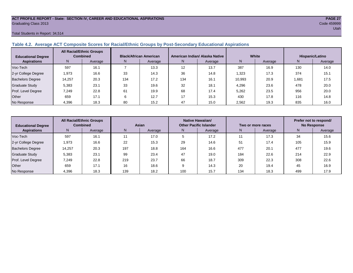#### **ACT PROFILE REPORT - State: SECTION IV, CAREER AND EDUCATIONAL ASPIRATIONS PAGE 27** Graduating Class 2013 Code 459999

#### Total Students in Report: 34,514

#### **Table 4.2. Average ACT Composite Scores for Racial/Ethnic Groups by Post-Secondary Educational Aspirations**

| <b>Educational Degree</b> | <b>All Racial/Ethnic Groups</b><br><b>Combined</b> |         | <b>Black/African American</b> |         |     | American Indian/ Alaska Native |        | White   | Hispanic/Latino |         |  |
|---------------------------|----------------------------------------------------|---------|-------------------------------|---------|-----|--------------------------------|--------|---------|-----------------|---------|--|
| <b>Aspirations</b>        | N                                                  | Average | N.                            | Average | N.  | Average                        | N      | Average | N               | Average |  |
| Voc-Tech                  | 597                                                | 16.1    |                               | 13.3    | 12  | 13.7                           | 387    | 16.9    | 130             | 14.0    |  |
| 2-yr College Degree       | 1,973                                              | 16.6    | 33                            | 14.3    | 36  | 14.8                           | 1,323  | 17.3    | 374             | 15.1    |  |
| <b>Bachelors Degree</b>   | 14,257                                             | 20.3    | 134                           | 17.2    | 134 | 16.1                           | 10,993 | 20.9    | 1,681           | 17.5    |  |
| <b>Graduate Study</b>     | 5,383                                              | 23.1    | 33                            | 19.6    | 32  | 18.1                           | 4,296  | 23.6    | 478             | 20.0    |  |
| Prof. Level Degree        | 7,249                                              | 22.8    | 61                            | 19.9    | 68  | 17.4                           | 5,262  | 23.5    | 956             | 20.0    |  |
| Other                     | 659                                                | 17.1    |                               | 12.7    | 17  | 15.3                           | 430    | 17.8    | 116             | 14.8    |  |
| No Response               | 4,396                                              | 18.3    | 80                            | 15.2    | 47  | 15.0                           | 2,562  | 19.3    | 835             | 16.0    |  |

| <b>Educational Degree</b> | <b>All Racial/Ethnic Groups</b><br><b>Combined</b> |         | Asian |         |     | Native Hawaiian/<br><b>Other Pacific Islander</b> |     | Two or more races | Prefer not to respond/<br><b>No Response</b> |         |  |
|---------------------------|----------------------------------------------------|---------|-------|---------|-----|---------------------------------------------------|-----|-------------------|----------------------------------------------|---------|--|
| <b>Aspirations</b>        | N.                                                 | Average | N     | Average | N.  | Average                                           | N.  | Average           | N                                            | Average |  |
| Voc-Tech                  | 597                                                | 16.1    |       | 17.0    |     | 17.2                                              |     | 17.3              | 34                                           | 15.6    |  |
| 2-yr College Degree       | 1,973                                              | 16.6    | 22    | 15.3    | 29  | 14.6                                              | 51  | 17.4              | 105                                          | 15.9    |  |
| <b>Bachelors Degree</b>   | 14,257                                             | 20.3    | 197   | 18.8    | 164 | 16.6                                              | 477 | 20.1              | 477                                          | 19.6    |  |
| <b>Graduate Study</b>     | 5,383                                              | 23.1    | 99    | 23.4    | 47  | 19.0                                              | 184 | 22.6              | 214                                          | 22.9    |  |
| Prof. Level Degree        | 7,249                                              | 22.8    | 219   | 23.7    | 66  | 18.7                                              | 309 | 22.3              | 308                                          | 22.6    |  |
| Other                     | 659                                                | 17.1    | 16    | 18.6    | a   | 14.3                                              | 20  | 19.4              | 45                                           | 16.9    |  |
| No Response               | 4,396                                              | 18.3    | 139   | 18.2    | 100 | 15.7                                              | 134 | 18.3              | 499                                          | 17.9    |  |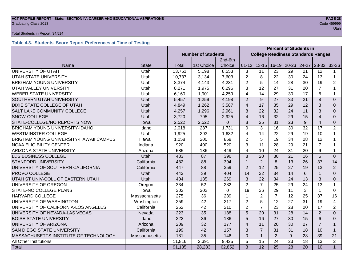#### **ACT PROFILE REPORT - State: SECTION IV, CAREER AND EDUCATIONAL ASPIRATIONS PAGE 28 Graduating Class 2013** Code 459999 Code 459999

#### Total Students in Report: 34,514

#### **Table 4.3. Students' Score Report Preferences at Time of Testing**

|                                        |               |                           |            |          | <b>Percent of Students in</b> |                                           |                 |                 |       |                         |                |
|----------------------------------------|---------------|---------------------------|------------|----------|-------------------------------|-------------------------------------------|-----------------|-----------------|-------|-------------------------|----------------|
|                                        |               | <b>Number of Students</b> |            |          |                               | <b>College Readiness Standards Ranges</b> |                 |                 |       |                         |                |
|                                        |               |                           |            | 2nd-6th  |                               |                                           |                 |                 |       |                         |                |
| Name                                   | <b>State</b>  | <b>Total</b>              | 1st Choice | Choice   | $01 - 12$                     | $13 - 15$                                 | $16 - 19$       | $20 - 23$       | 24-27 | 28-32                   | 33-36          |
| UNIVERSITY OF UTAH                     | Utah          | 13,751                    | 5,198      | 8,553    | 3                             | 11                                        | 23              | 29              | 21    | 12                      |                |
| <b>UTAH STATE UNIVERSITY</b>           | Utah          | 10,737                    | 3,134      | 7,603    | $\overline{2}$                | 8                                         | 22              | 30              | 24    | 13                      | 1              |
| <b>BRIGHAM YOUNG UNIVERSITY</b>        | Utah          | 8,374                     | 4,143      | 4,231    | $\overline{2}$                | 5                                         | 14              | 28              | 30    | 19                      | $\overline{2}$ |
| UTAH VALLEY UNIVERSITY                 | Utah          | 8,271                     | 1,975      | 6,296    | 3                             | 12                                        | 27              | 31              | 20    | $\overline{7}$          |                |
| <b>WEBER STATE UNIVERSITY</b>          | Utah          | 6,160                     | 1,901      | 4,259    | 4                             | 14                                        | 29              | 30              | 17    | 6                       | 1              |
| SOUTHERN UTAH UNIVERSITY               | Utah          | 5,457                     | 1,259      | 4,198    | $\overline{2}$                | 9                                         | 27              | 33              | 21    | 8                       | $\Omega$       |
| DIXIE STATE COLLEGE OF UTAH            | Utah          | 4,849                     | 1,262      | 3,587    | $\overline{4}$                | 17                                        | 35              | 29              | 12    | 3                       | $\Omega$       |
| SALT LAKE COMMUNITY COLLEGE            | Utah          | 4,257                     | 1,296      | 2,961    | 8                             | 22                                        | 32              | 24              | 11    | 3                       | $\Omega$       |
| <b>SNOW COLLEGE</b>                    | Utah          | 3,720                     | 795        | 2,925    | $\overline{4}$                | 16                                        | 32              | 29              | 15    | $\overline{\mathbf{A}}$ | $\Omega$       |
| STATE-COLLEGE/NO REPORTS NOW           | lowa          | 2,522                     | 2,522      | $\Omega$ | 8                             | 25                                        | 31              | 23              | 9     | $\overline{\mathbf{4}}$ | $\Omega$       |
| <b>BRIGHAM YOUNG UNIVERSITY-IDAHO</b>  | Idaho         | 2,018                     | 287        | 1,731    | $\mathbf 0$                   | 3                                         | 16              | 30              | 32    | 17                      | 2              |
| <b>WESTMINSTER COLLEGE</b>             | Utah          | 1,925                     | 293        | 1,632    | $\overline{4}$                | 14                                        | 22              | 29              | 19    | 10                      | 1              |
| BRIGHAM YOUNG UNIVERSITY-HAWAII CAMPUS | Hawaii        | 1,058                     | 200        | 858      | $\overline{2}$                | 5                                         | 19              | 34              | 28    | 12                      |                |
| <b>NCAA ELIGIBILITY CENTER</b>         | Indiana       | 920                       | 400        | 520      | 3                             | 11                                        | 28              | 29              | 21    | $\overline{7}$          |                |
| <b>ARIZONA STATE UNIVERSITY</b>        | Arizona       | 585                       | 136        | 449      | 4                             | 10                                        | 24              | 31              | 20    | 9                       | 1              |
| LDS BUSINESS COLLEGE                   | Utah          | 483                       | 87         | 396      | 8                             | 20                                        | 30              | 21              | 16    | 5                       | $\Omega$       |
| <b>STANFORD UNIVERSITY</b>             | California    | 482                       | 88         | 394      | 1                             | 2                                         | 8               | 13              | 26    | 37                      | 14             |
| UNIVERSITY OF SOUTHERN CALIFORNIA      | California    | 447                       | 88         | 359      | $\overline{2}$                | 12                                        | 25              | 27              | 19    | 13                      | 2              |
| PROVO COLLEGE                          | Utah          | 443                       | 39         | 404      | 14                            | 32                                        | 34              | 14              | 6     | -1                      | $\Omega$       |
| UTAH ST UNIV-COLL OF EASTERN UTAH      | Utah          | 404                       | 135        | 269      | 3                             | 22                                        | 34              | 24              | 13    | 3                       | $\Omega$       |
| UNIVERSITY OF OREGON                   | Oregon        | 334                       | 52         | 282      | 2                             | $\overline{7}$                            | 25              | 29              | 24    | 13                      | 1              |
| STATE-NO COLLEGE PLANS                 | lowa          | 302                       | 302        | $\Omega$ | 19                            | 36                                        | 29              | 11              | 3     | 1                       | $\Omega$       |
| HARVARD COLLEGE                        | Massachusetts | 275                       | 36         | 239      | $\mathbf{1}$                  | $\overline{2}$                            | $\overline{7}$  | 12              | 25    | 37                      | 16             |
| UNIVERSITY OF WASHINGTON               | Washington    | 259                       | 42         | 217      | $\overline{2}$                | 5                                         | 12              | 27              | 31    | 19                      | $\overline{4}$ |
| UNIVERSITY OF CALIFORNIA-LOS ANGELES   | California    | 252                       | 42         | 210      | $\overline{2}$                | $\overline{7}$                            | 23              | 28              | 20    | 17                      | $\overline{2}$ |
| UNIVERSITY OF NEVADA-LAS VEGAS         | Nevada        | 223                       | 35         | 188      | $\overline{5}$                | 20                                        | $\overline{31}$ | 28              | 14    | $\overline{2}$          | $\Omega$       |
| <b>BOISE STATE UNIVERSITY</b>          | Idaho         | 222                       | 36         | 186      | 5                             | 16                                        | 27              | 30              | 15    | 6                       | $\Omega$       |
| UNIVERSITY OF ARIZONA                  | Arizona       | 209                       | 32         | 177      | $\overline{\mathbf{A}}$       | 11                                        | 20              | 30              | 27    | $\overline{7}$          |                |
| SAN DIEGO STATE UNIVERSITY             | California    | 199                       | 42         | 157      | 3                             | $\overline{7}$                            | 31              | 31              | 18    | 10                      | 1              |
| MASSACHUSETTS INSTITUTE OF TECHNOLOGY  | Massachusetts | 181                       | 35         | 146      | $\mathbf 0$                   | 1                                         | $\overline{2}$  | 9               | 28    | 39                      | 21             |
| All Other Institutions                 |               | 11,816                    | 2,391      | 9,425    | 5                             | 15                                        | 24              | 23              | 18    | 13                      | $\overline{2}$ |
| Total                                  |               | 91,135                    | 28,283     | 62,852   | 3                             | $\overline{12}$                           | $\overline{25}$ | $\overline{28}$ | 20    | 10                      | $\mathbf{1}$   |

## utah di kacamatan ing Kabupatèn Kabupatèn Kabupatèn Kabupatèn Kabupatèn Kabupatèn Kabupatèn Kabupatèn Kabupatè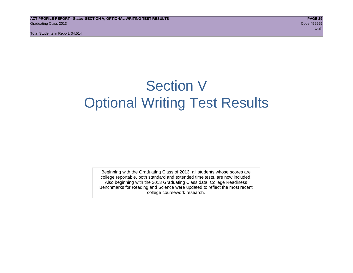Total Students in Report: 34,514

## Section V Optional Writing Test Results

Beginning with the Graduating Class of 2013, all students whose scores are college reportable, both standard and extended time tests, are now included. Also beginning with the 2013 Graduating Class data, College Readiness Benchmarks for Reading and Science were updated to reflect the most recent college coursework research.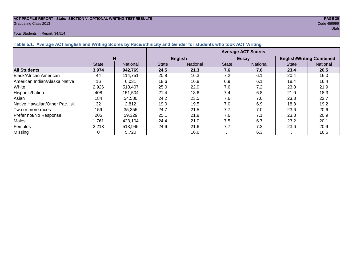### **ACT PROFILE REPORT - State: SECTION V, OPTIONAL WRITING TEST RESULTS PAGE 30** Graduating Class 2013 Code 459999

#### Total Students in Report: 34,514

|                                 |              |          |              | <b>Average ACT Scores</b> |              |              |                                 |          |  |  |  |
|---------------------------------|--------------|----------|--------------|---------------------------|--------------|--------------|---------------------------------|----------|--|--|--|
|                                 |              | N        |              | <b>English</b>            |              | <b>Essay</b> | <b>English/Writing Combined</b> |          |  |  |  |
|                                 | <b>State</b> | National | <b>State</b> | National                  | <b>State</b> | National     | <b>State</b>                    | National |  |  |  |
| <b>All Students</b>             | 3,974        | 942,769  | 24.5         | 21.3                      | 7.6          | 7.0          | 23.4                            | 20.5     |  |  |  |
| Black/African American          | 44           | 114.751  | 20.8         | 16.3                      | 7.2          | 6.1          | 20.4                            | 16.0     |  |  |  |
| American Indian/Alaska Native   | 16           | 6.031    | 18.6         | 16.8                      | 6.9          | 6.1          | 18.4                            | 16.4     |  |  |  |
| White                           | 2,926        | 518,407  | 25.0         | 22.9                      | 7.6          | 7.2          | 23.8                            | 21.9     |  |  |  |
| Hispanic/Latino                 | 408          | 151,504  | 21.4         | 18.6                      | 7.4          | 6.8          | 21.0                            | 18.3     |  |  |  |
| Asian                           | 184          | 54,580   | 24.2         | 23.5                      | 7.6          | 7.6          | 23.3                            | 22.7     |  |  |  |
| Native Hawaiian/Other Pac. Isl. | 32           | 2,812    | 19.0         | 19.5                      | 7.0          | 6.9          | 18.8                            | 19.2     |  |  |  |

|Two or more races | 159 | 35,355 | 24.7 | 21.5 | 7.7 | 7.0 | 23.6 | 20.6 Prefer not/No Response | 205 | 59,329 | 25.1 | 21.8 | 7.6 | 7.1 | 23.8 | 20.9 Males | 1,761 | 423,104 | 24.4 | 21.0 | 7.5 | 6.7 | 23.2 | 20.1 Females | 2,213 | 513,945 | 24.6 | 21.6 | 7.7 | 7.2 | 23.6 | 20.9 Missing | 0 | 5,720 | . | 16.6 | . | 6.3 | . | 16.5